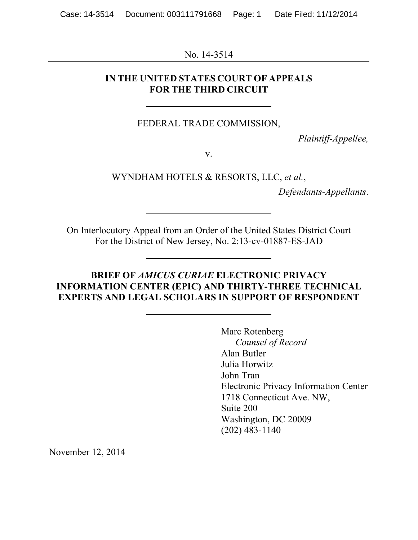No. 14-3514

#### **IN THE UNITED STATES COURT OF APPEALS FOR THE THIRD CIRCUIT**

FEDERAL TRADE COMMISSION,

*Plaintiff-Appellee,*

v.

WYNDHAM HOTELS & RESORTS, LLC, *et al.*,

*Defendants-Appellants*.

On Interlocutory Appeal from an Order of the United States District Court For the District of New Jersey, No. 2:13-cv-01887-ES-JAD

#### **BRIEF OF** *AMICUS CURIAE* **ELECTRONIC PRIVACY INFORMATION CENTER (EPIC) AND THIRTY-THREE TECHNICAL EXPERTS AND LEGAL SCHOLARS IN SUPPORT OF RESPONDENT**

Marc Rotenberg *Counsel of Record* Alan Butler Julia Horwitz John Tran Electronic Privacy Information Center 1718 Connecticut Ave. NW, Suite 200 Washington, DC 20009 (202) 483-1140

November 12, 2014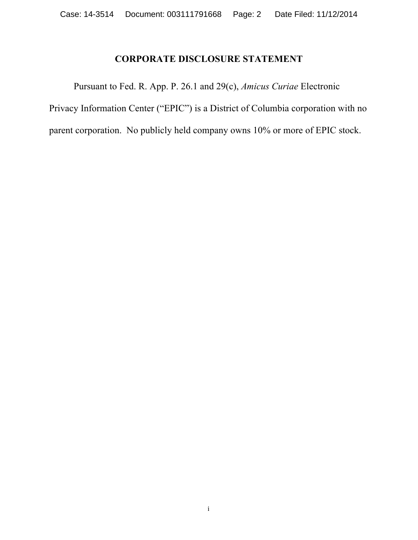# **CORPORATE DISCLOSURE STATEMENT**

Pursuant to Fed. R. App. P. 26.1 and 29(c), *Amicus Curiae* Electronic Privacy Information Center ("EPIC") is a District of Columbia corporation with no parent corporation. No publicly held company owns 10% or more of EPIC stock.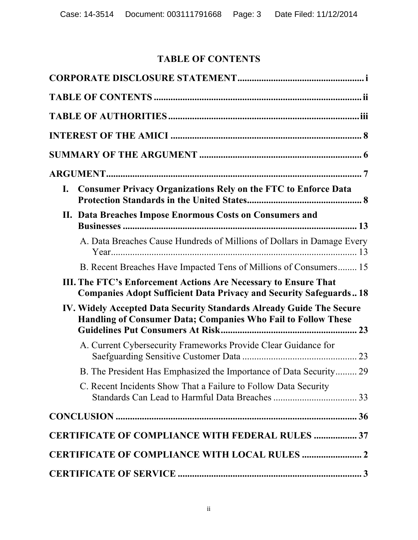# **TABLE OF CONTENTS**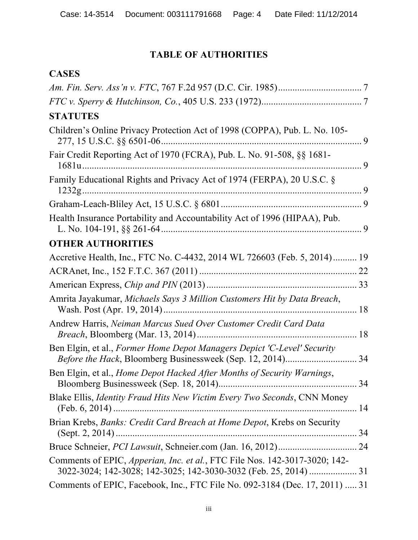# **TABLE OF AUTHORITIES**

# **CASES**

| <b>STATUTES</b>                                                                                         |    |
|---------------------------------------------------------------------------------------------------------|----|
| Children's Online Privacy Protection Act of 1998 (COPPA), Pub. L. No. 105-<br>277, 15 U.S.C. §§ 6501-06 |    |
| Fair Credit Reporting Act of 1970 (FCRA), Pub. L. No. 91-508, §§ 1681-                                  |    |
| Family Educational Rights and Privacy Act of 1974 (FERPA), 20 U.S.C. §                                  |    |
|                                                                                                         |    |
| Health Insurance Portability and Accountability Act of 1996 (HIPAA), Pub.                               |    |
| <b>OTHER AUTHORITIES</b>                                                                                |    |
| Accretive Health, Inc., FTC No. C-4432, 2014 WL 726603 (Feb. 5, 2014) 19                                |    |
|                                                                                                         |    |
|                                                                                                         |    |
| Amrita Jayakumar, Michaels Says 3 Million Customers Hit by Data Breach,                                 |    |
| Andrew Harris, Neiman Marcus Sued Over Customer Credit Card Data                                        |    |
| Ben Elgin, et al., Former Home Depot Managers Depict 'C-Level' Security                                 |    |
| Ben Elgin, et al., Home Depot Hacked After Months of Security Warnings,                                 | 34 |
| Blake Ellis, <i>Identity Fraud Hits New Victim Every Two Seconds</i> , CNN Money                        |    |
| Brian Krebs, Banks: Credit Card Breach at Home Depot, Krebs on Security                                 |    |
|                                                                                                         |    |
| Comments of EPIC, Apperian, Inc. et al., FTC File Nos. 142-3017-3020; 142-                              |    |
| Comments of EPIC, Facebook, Inc., FTC File No. 092-3184 (Dec. 17, 2011)  31                             |    |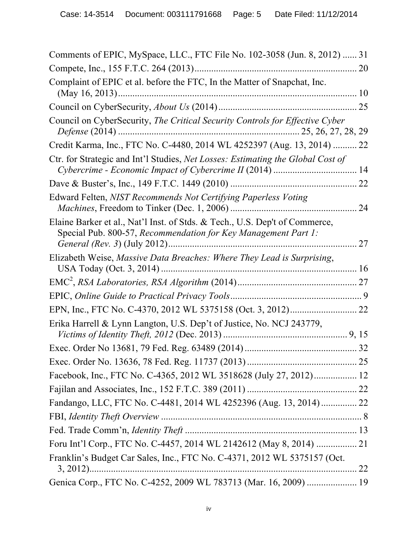| Comments of EPIC, MySpace, LLC., FTC File No. 102-3058 (Jun. 8, 2012)  31                                                                     |    |
|-----------------------------------------------------------------------------------------------------------------------------------------------|----|
|                                                                                                                                               |    |
| Complaint of EPIC et al. before the FTC, In the Matter of Snapchat, Inc.                                                                      |    |
|                                                                                                                                               |    |
| Council on CyberSecurity, The Critical Security Controls for Effective Cyber                                                                  |    |
| Credit Karma, Inc., FTC No. C-4480, 2014 WL 4252397 (Aug. 13, 2014)  22                                                                       |    |
| Ctr. for Strategic and Int'l Studies, Net Losses: Estimating the Global Cost of                                                               |    |
|                                                                                                                                               |    |
| Edward Felten, NIST Recommends Not Certifying Paperless Voting                                                                                | 24 |
| Elaine Barker et al., Nat'l Inst. of Stds. & Tech., U.S. Dep't of Commerce,<br>Special Pub. 800-57, Recommendation for Key Management Part 1: | 27 |
| Elizabeth Weise, Massive Data Breaches: Where They Lead is Surprising,                                                                        |    |
|                                                                                                                                               |    |
|                                                                                                                                               |    |
|                                                                                                                                               |    |
| Erika Harrell & Lynn Langton, U.S. Dep't of Justice, No. NCJ 243779,                                                                          |    |
|                                                                                                                                               |    |
|                                                                                                                                               |    |
| Facebook, Inc., FTC No. C-4365, 2012 WL 3518628 (July 27, 2012) 12                                                                            |    |
|                                                                                                                                               |    |
| Fandango, LLC, FTC No. C-4481, 2014 WL 4252396 (Aug. 13, 2014) 22                                                                             |    |
|                                                                                                                                               |    |
|                                                                                                                                               |    |
| Foru Int'l Corp., FTC No. C-4457, 2014 WL 2142612 (May 8, 2014)  21                                                                           |    |
| Franklin's Budget Car Sales, Inc., FTC No. C-4371, 2012 WL 5375157 (Oct.                                                                      |    |
| Genica Corp., FTC No. C-4252, 2009 WL 783713 (Mar. 16, 2009)  19                                                                              |    |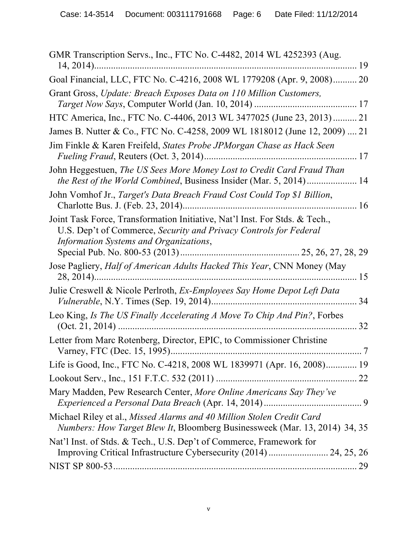| GMR Transcription Servs., Inc., FTC No. C-4482, 2014 WL 4252393 (Aug.                                                                                                                      |  |
|--------------------------------------------------------------------------------------------------------------------------------------------------------------------------------------------|--|
| Goal Financial, LLC, FTC No. C-4216, 2008 WL 1779208 (Apr. 9, 2008) 20                                                                                                                     |  |
| Grant Gross, Update: Breach Exposes Data on 110 Million Customers,                                                                                                                         |  |
| HTC America, Inc., FTC No. C-4406, 2013 WL 3477025 (June 23, 2013) 21                                                                                                                      |  |
| James B. Nutter & Co., FTC No. C-4258, 2009 WL 1818012 (June 12, 2009)  21                                                                                                                 |  |
| Jim Finkle & Karen Freifeld, States Probe JPMorgan Chase as Hack Seen                                                                                                                      |  |
| John Heggestuen, The US Sees More Money Lost to Credit Card Fraud Than<br>the Rest of the World Combined, Business Insider (Mar. 5, 2014) 14                                               |  |
| John Vomhof Jr., Target's Data Breach Fraud Cost Could Top \$1 Billion,                                                                                                                    |  |
| Joint Task Force, Transformation Initiative, Nat'l Inst. For Stds. & Tech.,<br>U.S. Dep't of Commerce, Security and Privacy Controls for Federal<br>Information Systems and Organizations, |  |
| Jose Pagliery, Half of American Adults Hacked This Year, CNN Money (May                                                                                                                    |  |
| Julie Creswell & Nicole Perlroth, Ex-Employees Say Home Depot Left Data                                                                                                                    |  |
| Leo King, Is The US Finally Accelerating A Move To Chip And Pin?, Forbes                                                                                                                   |  |
| Letter from Marc Rotenberg, Director, EPIC, to Commissioner Christine                                                                                                                      |  |
| Life is Good, Inc., FTC No. C-4218, 2008 WL 1839971 (Apr. 16, 2008) 19                                                                                                                     |  |
|                                                                                                                                                                                            |  |
| Mary Madden, Pew Research Center, More Online Americans Say They've                                                                                                                        |  |
| Michael Riley et al., Missed Alarms and 40 Million Stolen Credit Card<br><i>Numbers: How Target Blew It, Bloomberg Businessweek (Mar. 13, 2014) 34, 35</i>                                 |  |
| Nat'l Inst. of Stds. & Tech., U.S. Dep't of Commerce, Framework for<br>Improving Critical Infrastructure Cybersecurity (2014)  24, 25, 26                                                  |  |
|                                                                                                                                                                                            |  |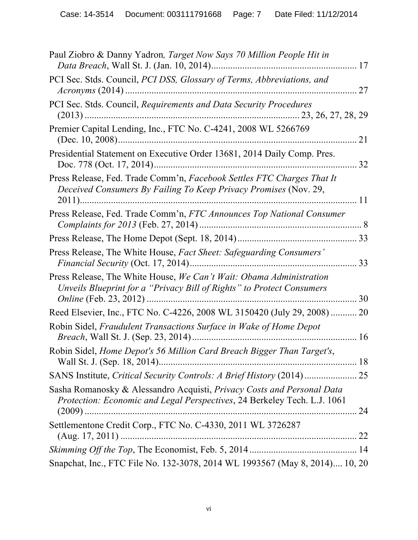| Paul Ziobro & Danny Yadron, Target Now Says 70 Million People Hit in                                                                               |    |
|----------------------------------------------------------------------------------------------------------------------------------------------------|----|
| PCI Sec. Stds. Council, <i>PCI DSS</i> , <i>Glossary of Terms</i> , <i>Abbreviations</i> , and                                                     | 27 |
| PCI Sec. Stds. Council, Requirements and Data Security Procedures                                                                                  |    |
| Premier Capital Lending, Inc., FTC No. C-4241, 2008 WL 5266769                                                                                     | 21 |
| Presidential Statement on Executive Order 13681, 2014 Daily Comp. Pres.                                                                            | 32 |
| Press Release, Fed. Trade Comm'n, Facebook Settles FTC Charges That It<br>Deceived Consumers By Failing To Keep Privacy Promises (Nov. 29,         | 11 |
| Press Release, Fed. Trade Comm'n, FTC Announces Top National Consumer                                                                              |    |
|                                                                                                                                                    |    |
| Press Release, The White House, Fact Sheet: Safeguarding Consumers'                                                                                |    |
| Press Release, The White House, We Can't Wait: Obama Administration<br>Unveils Blueprint for a "Privacy Bill of Rights" to Protect Consumers       | 30 |
| Reed Elsevier, Inc., FTC No. C-4226, 2008 WL 3150420 (July 29, 2008)                                                                               | 20 |
| Robin Sidel, Fraudulent Transactions Surface in Wake of Home Depot                                                                                 | 16 |
| Robin Sidel, Home Depot's 56 Million Card Breach Bigger Than Target's,                                                                             |    |
| SANS Institute, Critical Security Controls: A Brief History (2014)  25                                                                             |    |
| Sasha Romanosky & Alessandro Acquisti, Privacy Costs and Personal Data<br>Protection: Economic and Legal Perspectives, 24 Berkeley Tech. L.J. 1061 |    |
| Settlementone Credit Corp., FTC No. C-4330, 2011 WL 3726287                                                                                        |    |
|                                                                                                                                                    |    |
| Snapchat, Inc., FTC File No. 132-3078, 2014 WL 1993567 (May 8, 2014) 10, 20                                                                        |    |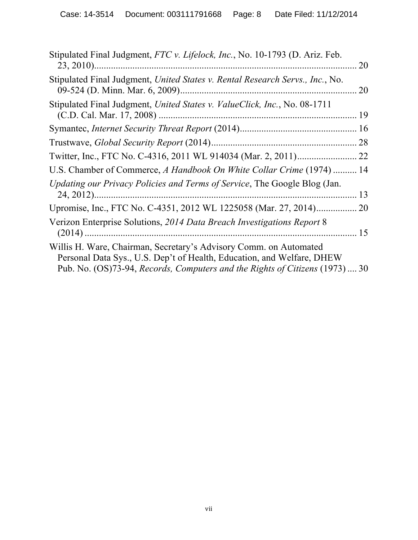| Stipulated Final Judgment, FTC v. Lifelock, Inc., No. 10-1793 (D. Ariz. Feb.<br>$23, 2010)$                                                                                                                                 | 20 |
|-----------------------------------------------------------------------------------------------------------------------------------------------------------------------------------------------------------------------------|----|
| Stipulated Final Judgment, United States v. Rental Research Servs., Inc., No.                                                                                                                                               | 20 |
| Stipulated Final Judgment, United States v. ValueClick, Inc., No. 08-1711                                                                                                                                                   | 19 |
|                                                                                                                                                                                                                             | 16 |
|                                                                                                                                                                                                                             | 28 |
|                                                                                                                                                                                                                             | 22 |
| U.S. Chamber of Commerce, A Handbook On White Collar Crime (1974)  14                                                                                                                                                       |    |
| Updating our Privacy Policies and Terms of Service, The Google Blog (Jan.                                                                                                                                                   | 13 |
| Upromise, Inc., FTC No. C-4351, 2012 WL 1225058 (Mar. 27, 2014)                                                                                                                                                             | 20 |
| Verizon Enterprise Solutions, 2014 Data Breach Investigations Report 8                                                                                                                                                      | 15 |
| Willis H. Ware, Chairman, Secretary's Advisory Comm. on Automated<br>Personal Data Sys., U.S. Dep't of Health, Education, and Welfare, DHEW<br>Pub. No. (OS)73-94, Records, Computers and the Rights of Citizens (1973)  30 |    |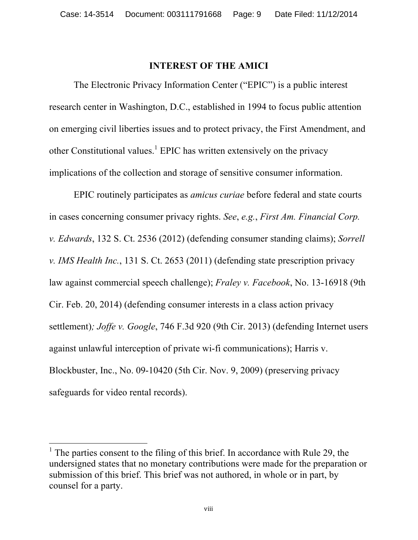#### **INTEREST OF THE AMICI**

The Electronic Privacy Information Center ("EPIC") is a public interest research center in Washington, D.C., established in 1994 to focus public attention on emerging civil liberties issues and to protect privacy, the First Amendment, and other Constitutional values.<sup>1</sup> EPIC has written extensively on the privacy implications of the collection and storage of sensitive consumer information.

EPIC routinely participates as *amicus curiae* before federal and state courts in cases concerning consumer privacy rights. *See*, *e.g.*, *First Am. Financial Corp. v. Edwards*, 132 S. Ct. 2536 (2012) (defending consumer standing claims); *Sorrell v. IMS Health Inc.*, 131 S. Ct. 2653 (2011) (defending state prescription privacy law against commercial speech challenge); *Fraley v. Facebook*, No. 13-16918 (9th Cir. Feb. 20, 2014) (defending consumer interests in a class action privacy settlement)*; Joffe v. Google*, 746 F.3d 920 (9th Cir. 2013) (defending Internet users against unlawful interception of private wi-fi communications); Harris v. Blockbuster, Inc., No. 09-10420 (5th Cir. Nov. 9, 2009) (preserving privacy safeguards for video rental records).

<sup>&</sup>lt;sup>1</sup> The parties consent to the filing of this brief. In accordance with Rule 29, the undersigned states that no monetary contributions were made for the preparation or submission of this brief. This brief was not authored, in whole or in part, by counsel for a party.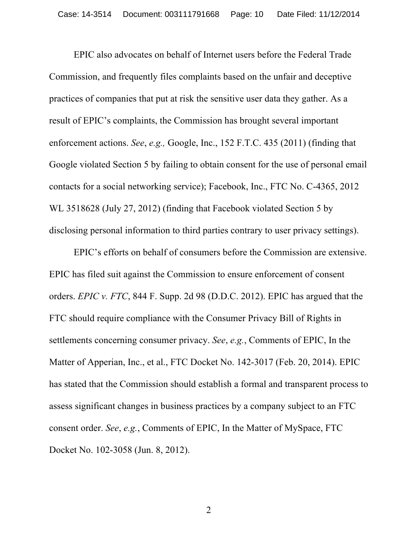EPIC also advocates on behalf of Internet users before the Federal Trade Commission, and frequently files complaints based on the unfair and deceptive practices of companies that put at risk the sensitive user data they gather. As a result of EPIC's complaints, the Commission has brought several important enforcement actions. *See*, *e.g.,* Google, Inc., 152 F.T.C. 435 (2011) (finding that Google violated Section 5 by failing to obtain consent for the use of personal email contacts for a social networking service); Facebook, Inc., FTC No. C-4365, 2012 WL 3518628 (July 27, 2012) (finding that Facebook violated Section 5 by disclosing personal information to third parties contrary to user privacy settings).

EPIC's efforts on behalf of consumers before the Commission are extensive. EPIC has filed suit against the Commission to ensure enforcement of consent orders. *EPIC v. FTC*, 844 F. Supp. 2d 98 (D.D.C. 2012). EPIC has argued that the FTC should require compliance with the Consumer Privacy Bill of Rights in settlements concerning consumer privacy. *See*, *e.g.*, Comments of EPIC, In the Matter of Apperian, Inc., et al., FTC Docket No. 142-3017 (Feb. 20, 2014). EPIC has stated that the Commission should establish a formal and transparent process to assess significant changes in business practices by a company subject to an FTC consent order. *See*, *e.g.*, Comments of EPIC, In the Matter of MySpace, FTC Docket No. 102-3058 (Jun. 8, 2012).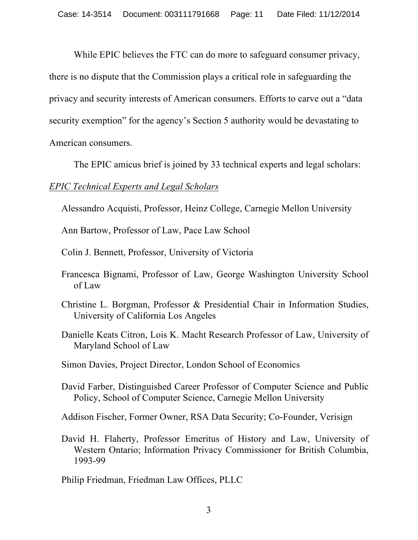While EPIC believes the FTC can do more to safeguard consumer privacy, there is no dispute that the Commission plays a critical role in safeguarding the privacy and security interests of American consumers. Efforts to carve out a "data security exemption" for the agency's Section 5 authority would be devastating to American consumers.

The EPIC amicus brief is joined by 33 technical experts and legal scholars:

#### *EPIC Technical Experts and Legal Scholars*

Alessandro Acquisti, Professor, Heinz College, Carnegie Mellon University

Ann Bartow, Professor of Law, Pace Law School

Colin J. Bennett, Professor, University of Victoria

- Francesca Bignami, Professor of Law, George Washington University School of Law
- Christine L. Borgman, Professor & Presidential Chair in Information Studies, University of California Los Angeles
- Danielle Keats Citron, Lois K. Macht Research Professor of Law, University of Maryland School of Law
- Simon Davies, Project Director, London School of Economics
- David Farber, Distinguished Career Professor of Computer Science and Public Policy, School of Computer Science, Carnegie Mellon University

Addison Fischer, Former Owner, RSA Data Security; Co-Founder, Verisign

David H. Flaherty, Professor Emeritus of History and Law, University of Western Ontario; Information Privacy Commissioner for British Columbia, 1993-99

Philip Friedman, Friedman Law Offices, PLLC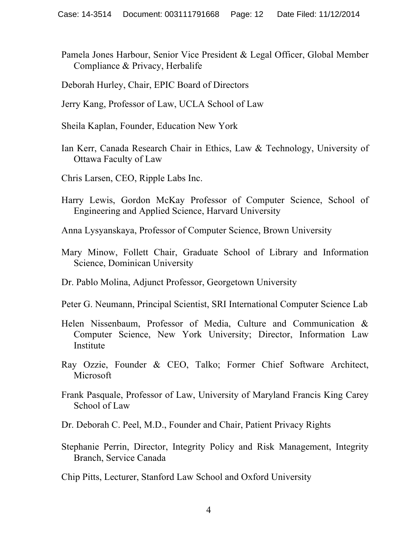- Pamela Jones Harbour, Senior Vice President & Legal Officer, Global Member Compliance & Privacy, Herbalife
- Deborah Hurley, Chair, EPIC Board of Directors
- Jerry Kang, Professor of Law, UCLA School of Law
- Sheila Kaplan, Founder, Education New York
- Ian Kerr, Canada Research Chair in Ethics, Law & Technology, University of Ottawa Faculty of Law
- Chris Larsen, CEO, Ripple Labs Inc.
- Harry Lewis, Gordon McKay Professor of Computer Science, School of Engineering and Applied Science, Harvard University
- Anna Lysyanskaya, Professor of Computer Science, Brown University
- Mary Minow, Follett Chair, Graduate School of Library and Information Science, Dominican University
- Dr. Pablo Molina, Adjunct Professor, Georgetown University
- Peter G. Neumann, Principal Scientist, SRI International Computer Science Lab
- Helen Nissenbaum, Professor of Media, Culture and Communication & Computer Science, New York University; Director, Information Law Institute
- Ray Ozzie, Founder & CEO, Talko; Former Chief Software Architect, **Microsoft**
- Frank Pasquale, Professor of Law, University of Maryland Francis King Carey School of Law
- Dr. Deborah C. Peel, M.D., Founder and Chair, Patient Privacy Rights
- Stephanie Perrin, Director, Integrity Policy and Risk Management, Integrity Branch, Service Canada

Chip Pitts, Lecturer, Stanford Law School and Oxford University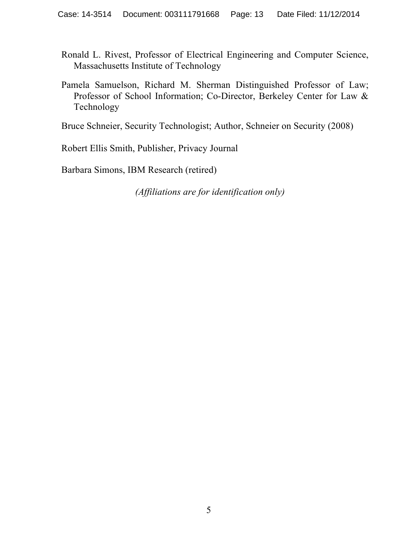- Ronald L. Rivest, Professor of Electrical Engineering and Computer Science, Massachusetts Institute of Technology
- Pamela Samuelson, Richard M. Sherman Distinguished Professor of Law; Professor of School Information; Co-Director, Berkeley Center for Law & Technology

Bruce Schneier, Security Technologist; Author, Schneier on Security (2008)

Robert Ellis Smith, Publisher, Privacy Journal

Barbara Simons, IBM Research (retired)

*(Affiliations are for identification only)*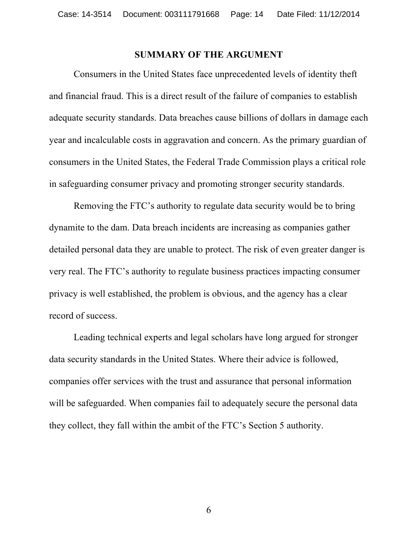#### **SUMMARY OF THE ARGUMENT**

Consumers in the United States face unprecedented levels of identity theft and financial fraud. This is a direct result of the failure of companies to establish adequate security standards. Data breaches cause billions of dollars in damage each year and incalculable costs in aggravation and concern. As the primary guardian of consumers in the United States, the Federal Trade Commission plays a critical role in safeguarding consumer privacy and promoting stronger security standards.

Removing the FTC's authority to regulate data security would be to bring dynamite to the dam. Data breach incidents are increasing as companies gather detailed personal data they are unable to protect. The risk of even greater danger is very real. The FTC's authority to regulate business practices impacting consumer privacy is well established, the problem is obvious, and the agency has a clear record of success.

Leading technical experts and legal scholars have long argued for stronger data security standards in the United States. Where their advice is followed, companies offer services with the trust and assurance that personal information will be safeguarded. When companies fail to adequately secure the personal data they collect, they fall within the ambit of the FTC's Section 5 authority.

6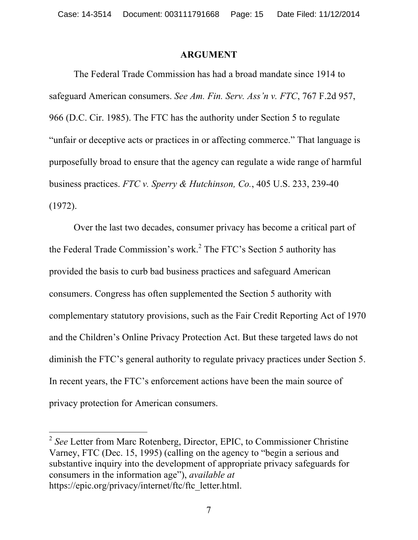#### **ARGUMENT**

The Federal Trade Commission has had a broad mandate since 1914 to safeguard American consumers. *See Am. Fin. Serv. Ass'n v. FTC*, 767 F.2d 957, 966 (D.C. Cir. 1985). The FTC has the authority under Section 5 to regulate "unfair or deceptive acts or practices in or affecting commerce." That language is purposefully broad to ensure that the agency can regulate a wide range of harmful business practices. *FTC v. Sperry & Hutchinson, Co.*, 405 U.S. 233, 239-40 (1972).

Over the last two decades, consumer privacy has become a critical part of the Federal Trade Commission's work.<sup>2</sup> The FTC's Section 5 authority has provided the basis to curb bad business practices and safeguard American consumers. Congress has often supplemented the Section 5 authority with complementary statutory provisions, such as the Fair Credit Reporting Act of 1970 and the Children's Online Privacy Protection Act. But these targeted laws do not diminish the FTC's general authority to regulate privacy practices under Section 5. In recent years, the FTC's enforcement actions have been the main source of privacy protection for American consumers.

 <sup>2</sup> *See* Letter from Marc Rotenberg, Director, EPIC, to Commissioner Christine Varney, FTC (Dec. 15, 1995) (calling on the agency to "begin a serious and substantive inquiry into the development of appropriate privacy safeguards for consumers in the information age"), *available at*  https://epic.org/privacy/internet/ftc/ftc\_letter.html.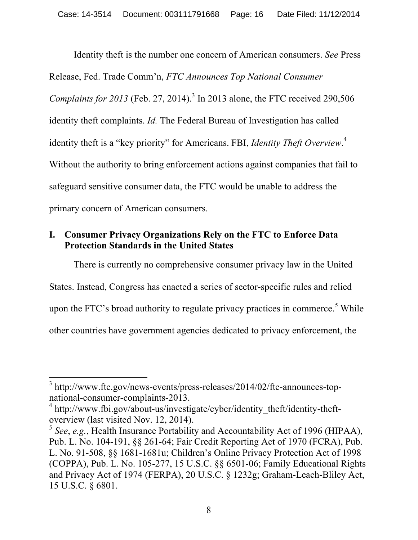Identity theft is the number one concern of American consumers. *See* Press Release, Fed. Trade Comm'n, *FTC Announces Top National Consumer Complaints for 2013* (Feb. 27, 2014). <sup>3</sup> In 2013 alone, the FTC received 290,506 identity theft complaints. *Id.* The Federal Bureau of Investigation has called identity theft is a "key priority" for Americans. FBI, *Identity Theft Overview*. 4 Without the authority to bring enforcement actions against companies that fail to safeguard sensitive consumer data, the FTC would be unable to address the primary concern of American consumers.

#### **I. Consumer Privacy Organizations Rely on the FTC to Enforce Data Protection Standards in the United States**

There is currently no comprehensive consumer privacy law in the United States. Instead, Congress has enacted a series of sector-specific rules and relied upon the FTC's broad authority to regulate privacy practices in commerce.<sup>5</sup> While other countries have government agencies dedicated to privacy enforcement, the

<sup>&</sup>lt;sup>3</sup> http://www.ftc.gov/news-events/press-releases/2014/02/ftc-announces-topnational-consumer-complaints-2013.

 $4 \text{ http://www.fbi.gov/about-us/investigate/cvber/identity-theft/identity-theff-}$ overview (last visited Nov. 12, 2014).

<sup>5</sup> *See*, *e.g.*, Health Insurance Portability and Accountability Act of 1996 (HIPAA), Pub. L. No. 104-191, §§ 261-64; Fair Credit Reporting Act of 1970 (FCRA), Pub. L. No. 91-508, §§ 1681-1681u; Children's Online Privacy Protection Act of 1998 (COPPA), Pub. L. No. 105-277, 15 U.S.C. §§ 6501-06; Family Educational Rights and Privacy Act of 1974 (FERPA), 20 U.S.C. § 1232g; Graham-Leach-Bliley Act, 15 U.S.C. § 6801.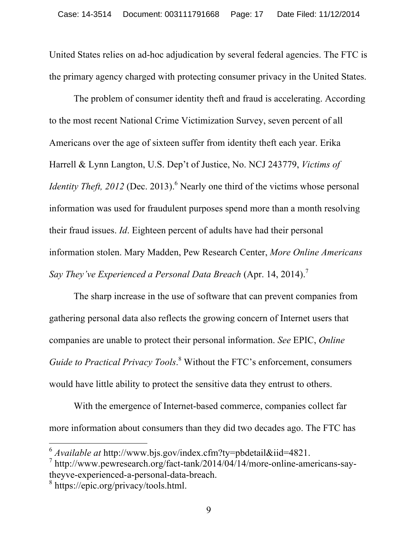United States relies on ad-hoc adjudication by several federal agencies. The FTC is the primary agency charged with protecting consumer privacy in the United States.

The problem of consumer identity theft and fraud is accelerating. According to the most recent National Crime Victimization Survey, seven percent of all Americans over the age of sixteen suffer from identity theft each year. Erika Harrell & Lynn Langton, U.S. Dep't of Justice, No. NCJ 243779, *Victims of Identity Theft, 2012* (Dec. 2013).<sup>6</sup> Nearly one third of the victims whose personal information was used for fraudulent purposes spend more than a month resolving their fraud issues. *Id*. Eighteen percent of adults have had their personal information stolen. Mary Madden, Pew Research Center, *More Online Americans Say They've Experienced a Personal Data Breach* (Apr. 14, 2014). 7

The sharp increase in the use of software that can prevent companies from gathering personal data also reflects the growing concern of Internet users that companies are unable to protect their personal information. *See* EPIC, *Online Guide to Practical Privacy Tools*. <sup>8</sup> Without the FTC's enforcement, consumers would have little ability to protect the sensitive data they entrust to others.

With the emergence of Internet-based commerce, companies collect far more information about consumers than they did two decades ago. The FTC has

 <sup>6</sup> *Available at* http://www.bjs.gov/index.cfm?ty=pbdetail&iid=4821.

 $\frac{7}{1}$  http://www.pewresearch.org/fact-tank/2014/04/14/more-online-americans-saytheyve-experienced-a-personal-data-breach.

<sup>8</sup> https://epic.org/privacy/tools.html.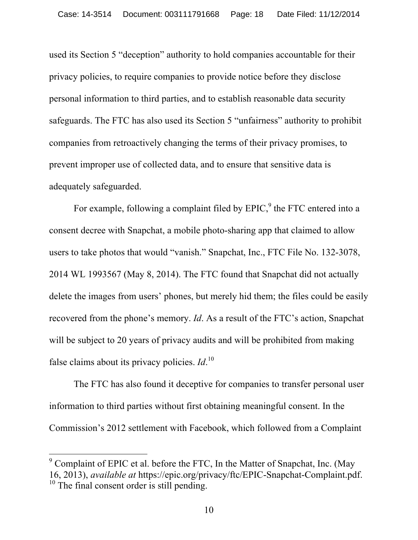used its Section 5 "deception" authority to hold companies accountable for their privacy policies, to require companies to provide notice before they disclose personal information to third parties, and to establish reasonable data security safeguards. The FTC has also used its Section 5 "unfairness" authority to prohibit companies from retroactively changing the terms of their privacy promises, to prevent improper use of collected data, and to ensure that sensitive data is adequately safeguarded.

For example, following a complaint filed by  $E\text{PIC}$ , the FTC entered into a consent decree with Snapchat, a mobile photo-sharing app that claimed to allow users to take photos that would "vanish." Snapchat, Inc., FTC File No. 132-3078, 2014 WL 1993567 (May 8, 2014). The FTC found that Snapchat did not actually delete the images from users' phones, but merely hid them; the files could be easily recovered from the phone's memory. *Id*. As a result of the FTC's action, Snapchat will be subject to 20 years of privacy audits and will be prohibited from making false claims about its privacy policies. *Id*. 10

The FTC has also found it deceptive for companies to transfer personal user information to third parties without first obtaining meaningful consent. In the Commission's 2012 settlement with Facebook, which followed from a Complaint

 $9^9$  Complaint of EPIC et al. before the FTC, In the Matter of Snapchat, Inc. (May 16, 2013), *available at* https://epic.org/privacy/ftc/EPIC-Snapchat-Complaint.pdf.  $10$  The final consent order is still pending.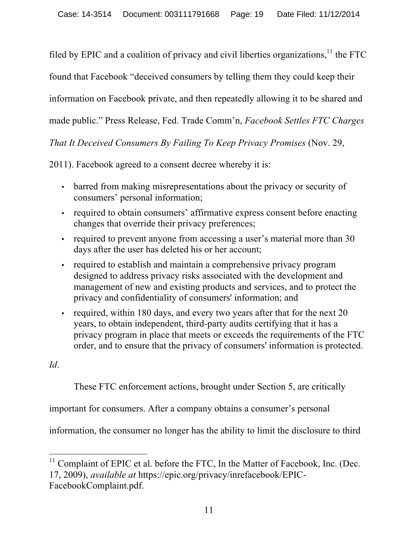filed by EPIC and a coalition of privacy and civil liberties organizations, $11$  the FTC

found that Facebook "deceived consumers by telling them they could keep their

information on Facebook private, and then repeatedly allowing it to be shared and

made public." Press Release, Fed. Trade Comm'n, *Facebook Settles FTC Charges* 

*That It Deceived Consumers By Failing To Keep Privacy Promises* (Nov. 29,

2011). Facebook agreed to a consent decree whereby it is:

- barred from making misrepresentations about the privacy or security of consumers' personal information;
- required to obtain consumers' affirmative express consent before enacting changes that override their privacy preferences;
- required to prevent anyone from accessing a user's material more than 30 days after the user has deleted his or her account;
- required to establish and maintain a comprehensive privacy program designed to address privacy risks associated with the development and management of new and existing products and services, and to protect the privacy and confidentiality of consumers' information; and
- required, within 180 days, and every two years after that for the next 20 years, to obtain independent, third-party audits certifying that it has a privacy program in place that meets or exceeds the requirements of the FTC order, and to ensure that the privacy of consumers' information is protected.

*Id*.

These FTC enforcement actions, brought under Section 5, are critically

important for consumers. After a company obtains a consumer's personal

information, the consumer no longer has the ability to limit the disclosure to third

 $11$  Complaint of EPIC et al. before the FTC, In the Matter of Facebook, Inc. (Dec. 17, 2009), *available at* https://epic.org/privacy/inrefacebook/EPIC-FacebookComplaint.pdf.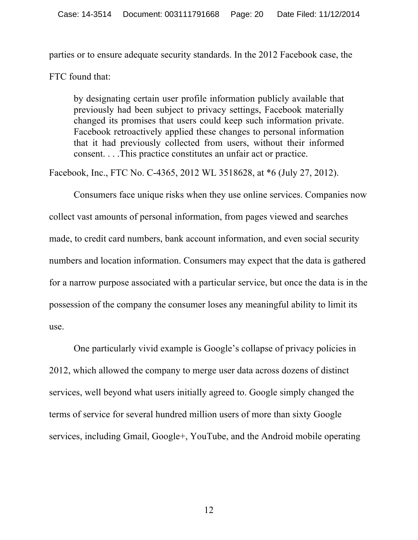parties or to ensure adequate security standards. In the 2012 Facebook case, the

FTC found that:

by designating certain user profile information publicly available that previously had been subject to privacy settings, Facebook materially changed its promises that users could keep such information private. Facebook retroactively applied these changes to personal information that it had previously collected from users, without their informed consent. . . .This practice constitutes an unfair act or practice.

Facebook, Inc., FTC No. C-4365, 2012 WL 3518628, at \*6 (July 27, 2012).

Consumers face unique risks when they use online services. Companies now collect vast amounts of personal information, from pages viewed and searches made, to credit card numbers, bank account information, and even social security numbers and location information. Consumers may expect that the data is gathered for a narrow purpose associated with a particular service, but once the data is in the possession of the company the consumer loses any meaningful ability to limit its use.

One particularly vivid example is Google's collapse of privacy policies in 2012, which allowed the company to merge user data across dozens of distinct services, well beyond what users initially agreed to. Google simply changed the terms of service for several hundred million users of more than sixty Google services, including Gmail, Google+, YouTube, and the Android mobile operating

12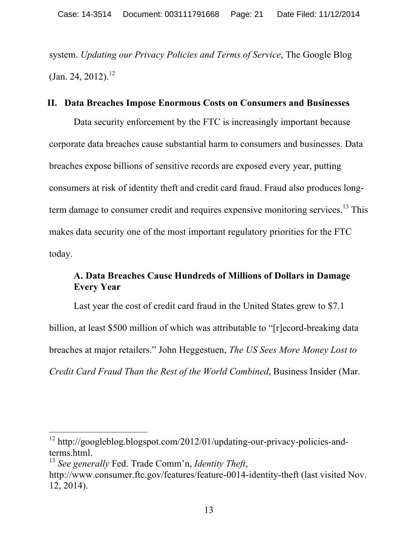system. *Updating our Privacy Policies and Terms of Service*, The Google Blog  $($ Jan. 24, 2012).<sup>12</sup>

#### **II. Data Breaches Impose Enormous Costs on Consumers and Businesses**

Data security enforcement by the FTC is increasingly important because corporate data breaches cause substantial harm to consumers and businesses. Data breaches expose billions of sensitive records are exposed every year, putting consumers at risk of identity theft and credit card fraud. Fraud also produces longterm damage to consumer credit and requires expensive monitoring services.<sup>13</sup> This makes data security one of the most important regulatory priorities for the FTC today.

## **A. Data Breaches Cause Hundreds of Millions of Dollars in Damage Every Year**

Last year the cost of credit card fraud in the United States grew to \$7.1 billion, at least \$500 million of which was attributable to "[r]ecord-breaking data breaches at major retailers." John Heggestuen, *The US Sees More Money Lost to Credit Card Fraud Than the Rest of the World Combined*, Business Insider (Mar.

<sup>&</sup>lt;sup>12</sup> http://googleblog.blogspot.com/2012/01/updating-our-privacy-policies-andterms.html.

<sup>13</sup> *See generally* Fed. Trade Comm'n, *Identity Theft*,

http://www.consumer.ftc.gov/features/feature-0014-identity-theft (last visited Nov. 12, 2014).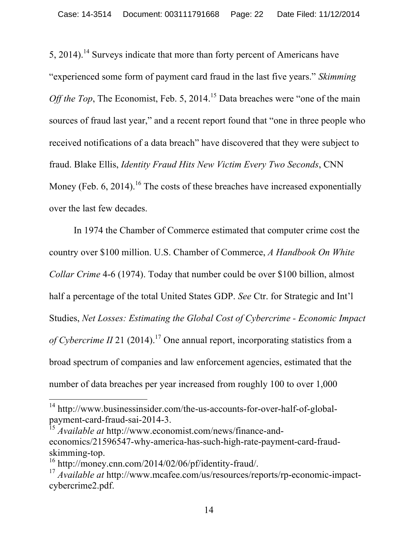5, 2014).<sup>14</sup> Surveys indicate that more than forty percent of Americans have "experienced some form of payment card fraud in the last five years." *Skimming Off the Top*, The Economist, Feb. 5, 2014.<sup>15</sup> Data breaches were "one of the main sources of fraud last year," and a recent report found that "one in three people who received notifications of a data breach" have discovered that they were subject to fraud. Blake Ellis, *Identity Fraud Hits New Victim Every Two Seconds*, CNN Money (Feb. 6, 2014).<sup>16</sup> The costs of these breaches have increased exponentially over the last few decades.

In 1974 the Chamber of Commerce estimated that computer crime cost the country over \$100 million. U.S. Chamber of Commerce, *A Handbook On White Collar Crime* 4-6 (1974). Today that number could be over \$100 billion, almost half a percentage of the total United States GDP. *See* Ctr. for Strategic and Int'l Studies, *Net Losses: Estimating the Global Cost of Cybercrime - Economic Impact*  of Cybercrime II 21 (2014).<sup>17</sup> One annual report, incorporating statistics from a broad spectrum of companies and law enforcement agencies, estimated that the number of data breaches per year increased from roughly 100 to over 1,000

 <sup>14</sup> http://www.businessinsider.com/the-us-accounts-for-over-half-of-globalpayment-card-fraud-sai-2014-3.

<sup>15</sup> *Available at* http://www.economist.com/news/finance-andeconomics/21596547-why-america-has-such-high-rate-payment-card-fraudskimming-top.

<sup>16</sup> http://money.cnn.com/2014/02/06/pf/identity-fraud/.

<sup>17</sup> *Available at* http://www.mcafee.com/us/resources/reports/rp-economic-impactcybercrime2.pdf.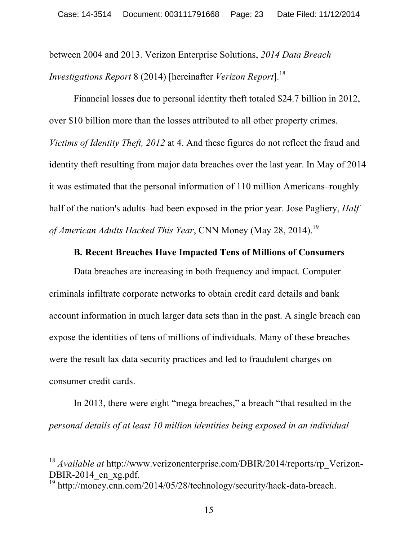between 2004 and 2013. Verizon Enterprise Solutions, *2014 Data Breach Investigations Report* 8 (2014) [hereinafter *Verizon Report*].<sup>18</sup>

Financial losses due to personal identity theft totaled \$24.7 billion in 2012, over \$10 billion more than the losses attributed to all other property crimes. *Victims of Identity Theft, 2012* at 4. And these figures do not reflect the fraud and identity theft resulting from major data breaches over the last year. In May of 2014 it was estimated that the personal information of 110 million Americans–roughly half of the nation's adults–had been exposed in the prior year. Jose Pagliery, *Half of American Adults Hacked This Year*, CNN Money (May 28, 2014). 19

#### **B. Recent Breaches Have Impacted Tens of Millions of Consumers**

Data breaches are increasing in both frequency and impact. Computer criminals infiltrate corporate networks to obtain credit card details and bank account information in much larger data sets than in the past. A single breach can expose the identities of tens of millions of individuals. Many of these breaches were the result lax data security practices and led to fraudulent charges on consumer credit cards.

In 2013, there were eight "mega breaches," a breach "that resulted in the *personal details of at least 10 million identities being exposed in an individual* 

<sup>&</sup>lt;sup>18</sup> *Available at* http://www.verizonenterprise.com/DBIR/2014/reports/rp Verizon-DBIR-2014\_en\_xg.pdf.

<sup>&</sup>lt;sup>19</sup> http://money.cnn.com/2014/05/28/technology/security/hack-data-breach.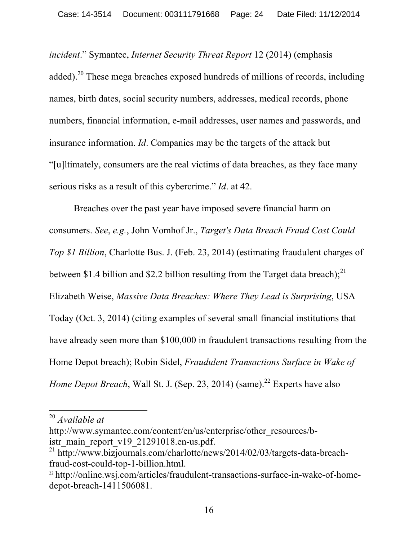*incident*." Symantec, *Internet Security Threat Report* 12 (2014) (emphasis added).<sup>20</sup> These mega breaches exposed hundreds of millions of records, including names, birth dates, social security numbers, addresses, medical records, phone numbers, financial information, e-mail addresses, user names and passwords, and insurance information. *Id*. Companies may be the targets of the attack but "[u]ltimately, consumers are the real victims of data breaches, as they face many serious risks as a result of this cybercrime." *Id*. at 42.

Breaches over the past year have imposed severe financial harm on consumers. *See*, *e.g.*, John Vomhof Jr., *Target's Data Breach Fraud Cost Could Top \$1 Billion*, Charlotte Bus. J. (Feb. 23, 2014) (estimating fraudulent charges of between \$1.4 billion and \$2.2 billion resulting from the Target data breach);<sup>21</sup> Elizabeth Weise, *Massive Data Breaches: Where They Lead is Surprising*, USA Today (Oct. 3, 2014) (citing examples of several small financial institutions that have already seen more than \$100,000 in fraudulent transactions resulting from the Home Depot breach); Robin Sidel, *Fraudulent Transactions Surface in Wake of Home Depot Breach*, Wall St. J. (Sep. 23, 2014) (same).<sup>22</sup> Experts have also

 <sup>20</sup> *Available at* 

http://www.symantec.com/content/en/us/enterprise/other\_resources/bistr\_main\_report\_v19\_21291018.en-us.pdf.

<sup>&</sup>lt;sup>21</sup> http://www.bizjournals.com/charlotte/news/2014/02/03/targets-data-breachfraud-cost-could-top-1-billion.html.

<sup>&</sup>lt;sup>22</sup> http://online.wsj.com/articles/fraudulent-transactions-surface-in-wake-of-homedepot-breach-1411506081.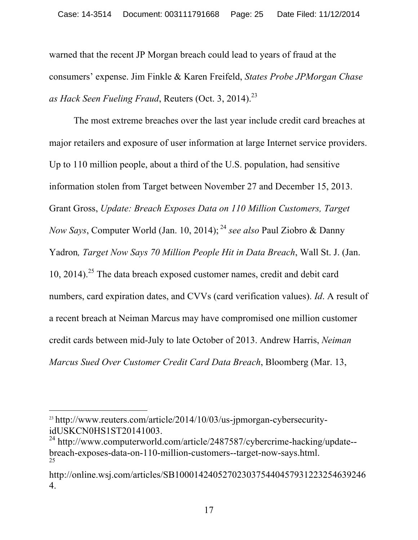warned that the recent JP Morgan breach could lead to years of fraud at the consumers' expense. Jim Finkle & Karen Freifeld, *States Probe JPMorgan Chase as Hack Seen Fueling Fraud*, Reuters (Oct. 3, 2014). 23

The most extreme breaches over the last year include credit card breaches at major retailers and exposure of user information at large Internet service providers. Up to 110 million people, about a third of the U.S. population, had sensitive information stolen from Target between November 27 and December 15, 2013. Grant Gross, *Update: Breach Exposes Data on 110 Million Customers, Target Now Says*, Computer World (Jan. 10, 2014); <sup>24</sup> *see also* Paul Ziobro & Danny Yadron*, Target Now Says 70 Million People Hit in Data Breach*, Wall St. J. (Jan. 10, 2014). <sup>25</sup> The data breach exposed customer names, credit and debit card numbers, card expiration dates, and CVVs (card verification values). *Id*. A result of a recent breach at Neiman Marcus may have compromised one million customer credit cards between mid-July to late October of 2013. Andrew Harris, *Neiman Marcus Sued Over Customer Credit Card Data Breach*, Bloomberg (Mar. 13,

 

<sup>&</sup>lt;sup>23</sup> http://www.reuters.com/article/2014/10/03/us-jpmorgan-cybersecurityidUSKCN0HS1ST20141003.

<sup>&</sup>lt;sup>24</sup> http://www.computerworld.com/article/2487587/cybercrime-hacking/update-breach-exposes-data-on-110-million-customers--target-now-says.html. 25

http://online.wsj.com/articles/SB1000142405270230375440457931223254639246 4.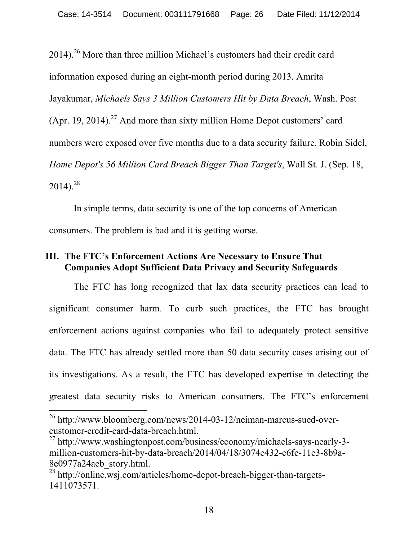$2014$ ).<sup>26</sup> More than three million Michael's customers had their credit card information exposed during an eight-month period during 2013. Amrita Jayakumar, *Michaels Says 3 Million Customers Hit by Data Breach*, Wash. Post (Apr. 19, 2014).<sup>27</sup> And more than sixty million Home Depot customers' card numbers were exposed over five months due to a data security failure. Robin Sidel, *Home Depot's 56 Million Card Breach Bigger Than Target's*, Wall St. J. (Sep. 18,  $2014$ <sup>28</sup>

In simple terms, data security is one of the top concerns of American consumers. The problem is bad and it is getting worse.

### **III. The FTC's Enforcement Actions Are Necessary to Ensure That Companies Adopt Sufficient Data Privacy and Security Safeguards**

The FTC has long recognized that lax data security practices can lead to significant consumer harm. To curb such practices, the FTC has brought enforcement actions against companies who fail to adequately protect sensitive data. The FTC has already settled more than 50 data security cases arising out of its investigations. As a result, the FTC has developed expertise in detecting the greatest data security risks to American consumers. The FTC's enforcement

 <sup>26</sup> http://www.bloomberg.com/news/2014-03-12/neiman-marcus-sued-overcustomer-credit-card-data-breach.html.

<sup>27</sup> http://www.washingtonpost.com/business/economy/michaels-says-nearly-3 million-customers-hit-by-data-breach/2014/04/18/3074e432-c6fc-11e3-8b9a-8e0977a24aeb\_story.html.

<sup>28</sup> http://online.wsj.com/articles/home-depot-breach-bigger-than-targets-1411073571.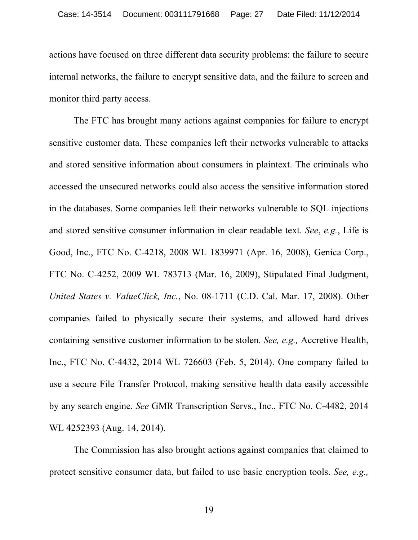actions have focused on three different data security problems: the failure to secure internal networks, the failure to encrypt sensitive data, and the failure to screen and monitor third party access.

The FTC has brought many actions against companies for failure to encrypt sensitive customer data. These companies left their networks vulnerable to attacks and stored sensitive information about consumers in plaintext. The criminals who accessed the unsecured networks could also access the sensitive information stored in the databases. Some companies left their networks vulnerable to SQL injections and stored sensitive consumer information in clear readable text. *See*, *e.g.*, Life is Good, Inc., FTC No. C-4218, 2008 WL 1839971 (Apr. 16, 2008), Genica Corp., FTC No. C-4252, 2009 WL 783713 (Mar. 16, 2009), Stipulated Final Judgment, *United States v. ValueClick, Inc.*, No. 08-1711 (C.D. Cal. Mar. 17, 2008). Other companies failed to physically secure their systems, and allowed hard drives containing sensitive customer information to be stolen. *See, e.g.,* Accretive Health, Inc., FTC No. C-4432, 2014 WL 726603 (Feb. 5, 2014). One company failed to use a secure File Transfer Protocol, making sensitive health data easily accessible by any search engine. *See* GMR Transcription Servs., Inc., FTC No. C-4482, 2014 WL 4252393 (Aug. 14, 2014).

The Commission has also brought actions against companies that claimed to protect sensitive consumer data, but failed to use basic encryption tools. *See, e.g.,*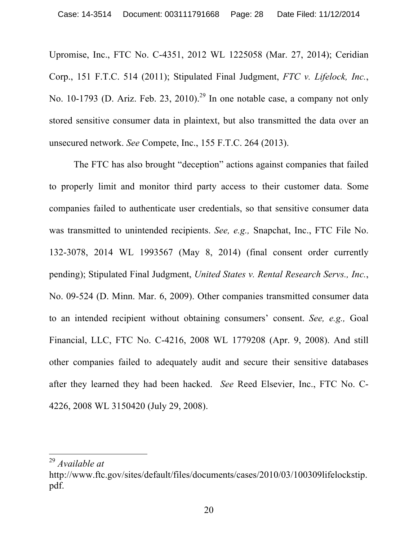Upromise, Inc., FTC No. C-4351, 2012 WL 1225058 (Mar. 27, 2014); Ceridian Corp., 151 F.T.C. 514 (2011); Stipulated Final Judgment, *FTC v. Lifelock, Inc.*, No. 10-1793 (D. Ariz. Feb. 23, 2010).<sup>29</sup> In one notable case, a company not only stored sensitive consumer data in plaintext, but also transmitted the data over an unsecured network. *See* Compete, Inc., 155 F.T.C. 264 (2013).

The FTC has also brought "deception" actions against companies that failed to properly limit and monitor third party access to their customer data. Some companies failed to authenticate user credentials, so that sensitive consumer data was transmitted to unintended recipients. *See, e.g.,* Snapchat, Inc., FTC File No. 132-3078, 2014 WL 1993567 (May 8, 2014) (final consent order currently pending); Stipulated Final Judgment, *United States v. Rental Research Servs., Inc.*, No. 09-524 (D. Minn. Mar. 6, 2009). Other companies transmitted consumer data to an intended recipient without obtaining consumers' consent. *See, e.g.,* Goal Financial, LLC, FTC No. C-4216, 2008 WL 1779208 (Apr. 9, 2008). And still other companies failed to adequately audit and secure their sensitive databases after they learned they had been hacked. *See* Reed Elsevier, Inc., FTC No. C-4226, 2008 WL 3150420 (July 29, 2008).

 <sup>29</sup> *Available at*

http://www.ftc.gov/sites/default/files/documents/cases/2010/03/100309lifelockstip. pdf.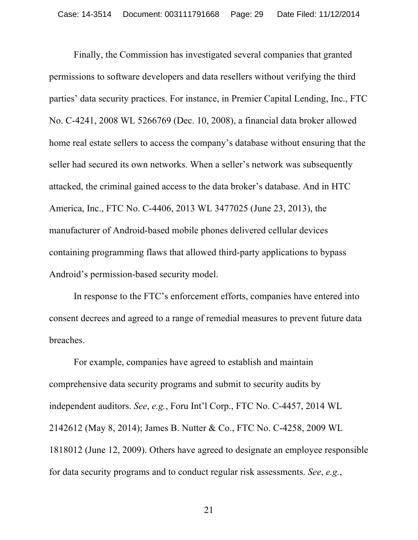Finally, the Commission has investigated several companies that granted permissions to software developers and data resellers without verifying the third parties' data security practices. For instance, in Premier Capital Lending, Inc., FTC No. C-4241, 2008 WL 5266769 (Dec. 10, 2008), a financial data broker allowed home real estate sellers to access the company's database without ensuring that the seller had secured its own networks. When a seller's network was subsequently attacked, the criminal gained access to the data broker's database. And in HTC America, Inc., FTC No. C-4406, 2013 WL 3477025 (June 23, 2013), the manufacturer of Android-based mobile phones delivered cellular devices containing programming flaws that allowed third-party applications to bypass Android's permission-based security model.

In response to the FTC's enforcement efforts, companies have entered into consent decrees and agreed to a range of remedial measures to prevent future data breaches.

For example, companies have agreed to establish and maintain comprehensive data security programs and submit to security audits by independent auditors. *See*, *e.g.*, Foru Int'l Corp., FTC No. C-4457, 2014 WL 2142612 (May 8, 2014); James B. Nutter & Co., FTC No. C-4258, 2009 WL 1818012 (June 12, 2009). Others have agreed to designate an employee responsible for data security programs and to conduct regular risk assessments. *See*, *e.g.*,

21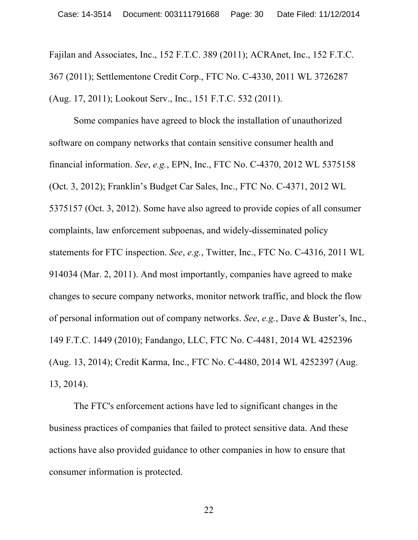Fajilan and Associates, Inc., 152 F.T.C. 389 (2011); ACRAnet, Inc., 152 F.T.C. 367 (2011); Settlementone Credit Corp., FTC No. C-4330, 2011 WL 3726287 (Aug. 17, 2011); Lookout Serv., Inc., 151 F.T.C. 532 (2011).

Some companies have agreed to block the installation of unauthorized software on company networks that contain sensitive consumer health and financial information. *See*, *e.g.*, EPN, Inc., FTC No. C-4370, 2012 WL 5375158 (Oct. 3, 2012); Franklin's Budget Car Sales, Inc., FTC No. C-4371, 2012 WL 5375157 (Oct. 3, 2012). Some have also agreed to provide copies of all consumer complaints, law enforcement subpoenas, and widely-disseminated policy statements for FTC inspection. *See*, *e.g.*, Twitter, Inc., FTC No. C-4316, 2011 WL 914034 (Mar. 2, 2011). And most importantly, companies have agreed to make changes to secure company networks, monitor network traffic, and block the flow of personal information out of company networks. *See*, *e.g.*, Dave & Buster's, Inc., 149 F.T.C. 1449 (2010); Fandango, LLC, FTC No. C-4481, 2014 WL 4252396 (Aug. 13, 2014); Credit Karma, Inc., FTC No. C-4480, 2014 WL 4252397 (Aug. 13, 2014).

The FTC's enforcement actions have led to significant changes in the business practices of companies that failed to protect sensitive data. And these actions have also provided guidance to other companies in how to ensure that consumer information is protected.

22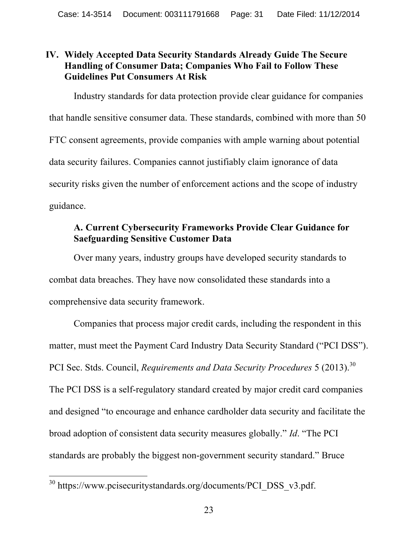### **IV. Widely Accepted Data Security Standards Already Guide The Secure Handling of Consumer Data; Companies Who Fail to Follow These Guidelines Put Consumers At Risk**

Industry standards for data protection provide clear guidance for companies that handle sensitive consumer data. These standards, combined with more than 50 FTC consent agreements, provide companies with ample warning about potential data security failures. Companies cannot justifiably claim ignorance of data security risks given the number of enforcement actions and the scope of industry guidance.

# **A. Current Cybersecurity Frameworks Provide Clear Guidance for Saefguarding Sensitive Customer Data**

Over many years, industry groups have developed security standards to combat data breaches. They have now consolidated these standards into a comprehensive data security framework.

Companies that process major credit cards, including the respondent in this matter, must meet the Payment Card Industry Data Security Standard ("PCI DSS"). PCI Sec. Stds. Council, *Requirements and Data Security Procedures* 5 (2013). 30 The PCI DSS is a self-regulatory standard created by major credit card companies and designed "to encourage and enhance cardholder data security and facilitate the broad adoption of consistent data security measures globally." *Id*. "The PCI standards are probably the biggest non-government security standard." Bruce

 <sup>30</sup> https://www.pcisecuritystandards.org/documents/PCI\_DSS\_v3.pdf.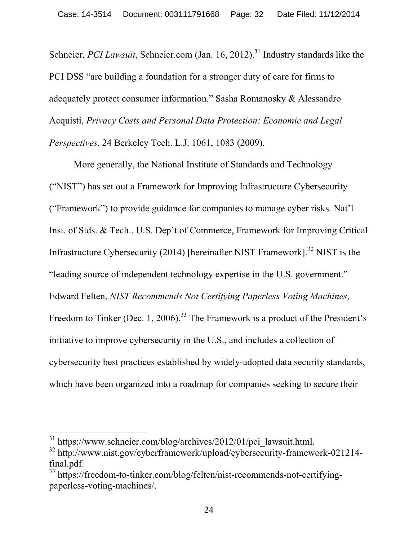Schneier, *PCI Lawsuit*, Schneier.com (Jan. 16, 2012).<sup>31</sup> Industry standards like the PCI DSS "are building a foundation for a stronger duty of care for firms to adequately protect consumer information." Sasha Romanosky & Alessandro Acquisti, *Privacy Costs and Personal Data Protection: Economic and Legal Perspectives*, 24 Berkeley Tech. L.J. 1061, 1083 (2009).

More generally, the National Institute of Standards and Technology ("NIST") has set out a Framework for Improving Infrastructure Cybersecurity ("Framework") to provide guidance for companies to manage cyber risks. Nat'l Inst. of Stds. & Tech., U.S. Dep't of Commerce, Framework for Improving Critical Infrastructure Cybersecurity (2014) [hereinafter NIST Framework].<sup>32</sup> NIST is the "leading source of independent technology expertise in the U.S. government." Edward Felten, *NIST Recommends Not Certifying Paperless Voting Machines*, Freedom to Tinker (Dec. 1, 2006).<sup>33</sup> The Framework is a product of the President's initiative to improve cybersecurity in the U.S., and includes a collection of cybersecurity best practices established by widely-adopted data security standards, which have been organized into a roadmap for companies seeking to secure their

<sup>&</sup>lt;sup>31</sup> https://www.schneier.com/blog/archives/2012/01/pci\_lawsuit.html.

<sup>&</sup>lt;sup>32</sup> http://www.nist.gov/cyberframework/upload/cybersecurity-framework-021214final.pdf.

<sup>33</sup> https://freedom-to-tinker.com/blog/felten/nist-recommends-not-certifyingpaperless-voting-machines/.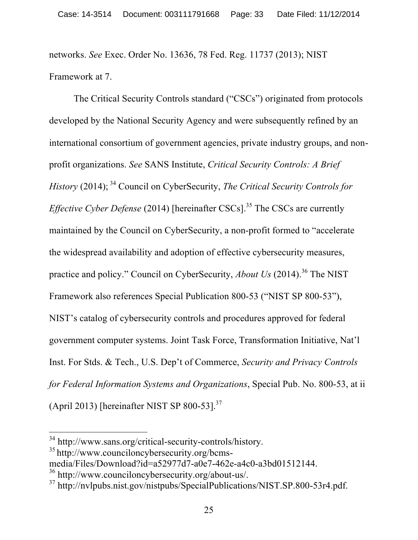networks. *See* Exec. Order No. 13636, 78 Fed. Reg. 11737 (2013); NIST Framework at 7.

The Critical Security Controls standard ("CSCs") originated from protocols developed by the National Security Agency and were subsequently refined by an international consortium of government agencies, private industry groups, and nonprofit organizations. *See* SANS Institute, *Critical Security Controls: A Brief History* (2014); <sup>34</sup> Council on CyberSecurity, *The Critical Security Controls for Effective Cyber Defense* (2014) [hereinafter CSCs].<sup>35</sup> The CSCs are currently maintained by the Council on CyberSecurity, a non-profit formed to "accelerate the widespread availability and adoption of effective cybersecurity measures, practice and policy." Council on CyberSecurity, *About Us* (2014). <sup>36</sup> The NIST Framework also references Special Publication 800-53 ("NIST SP 800-53"), NIST's catalog of cybersecurity controls and procedures approved for federal government computer systems. Joint Task Force, Transformation Initiative, Nat'l Inst. For Stds. & Tech., U.S. Dep't of Commerce, *Security and Privacy Controls for Federal Information Systems and Organizations*, Special Pub. No. 800-53, at ii (April 2013) [hereinafter NIST SP 800-53]. $^{37}$ 

 <sup>34</sup> http://www.sans.org/critical-security-controls/history.

<sup>35</sup> http://www.counciloncybersecurity.org/bcms-

media/Files/Download?id=a52977d7-a0e7-462e-a4c0-a3bd01512144.

<sup>36</sup> http://www.counciloncybersecurity.org/about-us/.

<sup>37</sup> http://nvlpubs.nist.gov/nistpubs/SpecialPublications/NIST.SP.800-53r4.pdf.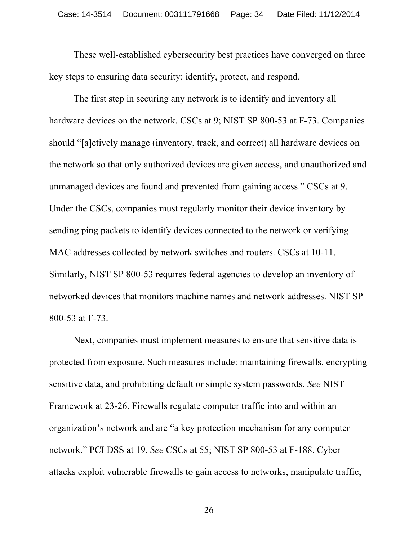These well-established cybersecurity best practices have converged on three key steps to ensuring data security: identify, protect, and respond.

The first step in securing any network is to identify and inventory all hardware devices on the network. CSCs at 9; NIST SP 800-53 at F-73. Companies should "[a]ctively manage (inventory, track, and correct) all hardware devices on the network so that only authorized devices are given access, and unauthorized and unmanaged devices are found and prevented from gaining access." CSCs at 9. Under the CSCs, companies must regularly monitor their device inventory by sending ping packets to identify devices connected to the network or verifying MAC addresses collected by network switches and routers. CSCs at 10-11. Similarly, NIST SP 800-53 requires federal agencies to develop an inventory of networked devices that monitors machine names and network addresses. NIST SP 800-53 at F-73.

Next, companies must implement measures to ensure that sensitive data is protected from exposure. Such measures include: maintaining firewalls, encrypting sensitive data, and prohibiting default or simple system passwords. *See* NIST Framework at 23-26. Firewalls regulate computer traffic into and within an organization's network and are "a key protection mechanism for any computer network." PCI DSS at 19. *See* CSCs at 55; NIST SP 800-53 at F-188. Cyber attacks exploit vulnerable firewalls to gain access to networks, manipulate traffic,

26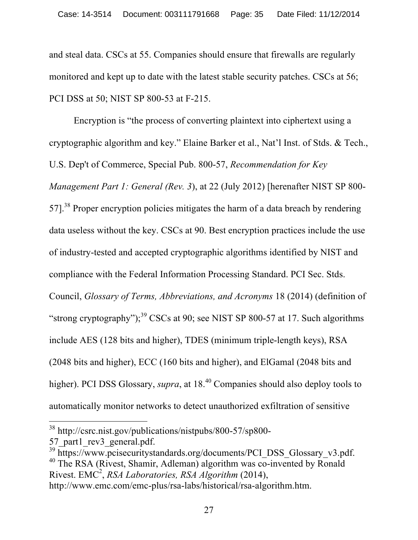and steal data. CSCs at 55. Companies should ensure that firewalls are regularly monitored and kept up to date with the latest stable security patches. CSCs at 56; PCI DSS at 50; NIST SP 800-53 at F-215.

Encryption is "the process of converting plaintext into ciphertext using a cryptographic algorithm and key." Elaine Barker et al., Nat'l Inst. of Stds. & Tech., U.S. Dep't of Commerce, Special Pub. 800-57, *Recommendation for Key Management Part 1: General (Rev. 3*), at 22 (July 2012) [herenafter NIST SP 800- 57].<sup>38</sup> Proper encryption policies mitigates the harm of a data breach by rendering data useless without the key. CSCs at 90. Best encryption practices include the use of industry-tested and accepted cryptographic algorithms identified by NIST and compliance with the Federal Information Processing Standard. PCI Sec. Stds. Council, *Glossary of Terms, Abbreviations, and Acronyms* 18 (2014) (definition of "strong cryptography");<sup>39</sup> CSCs at 90; see NIST SP 800-57 at 17. Such algorithms include AES (128 bits and higher), TDES (minimum triple-length keys), RSA (2048 bits and higher), ECC (160 bits and higher), and ElGamal (2048 bits and higher). PCI DSS Glossary, *supra*, at 18<sup>.40</sup> Companies should also deploy tools to automatically monitor networks to detect unauthorized exfiltration of sensitive

 <sup>38</sup> http://csrc.nist.gov/publications/nistpubs/800-57/sp800-

<sup>57</sup> part1 rev3 general.pdf.

<sup>&</sup>lt;sup>39</sup> https://www.pcisecuritystandards.org/documents/PCI\_DSS\_Glossary\_v3.pdf. <sup>40</sup> The RSA (Rivest, Shamir, Adleman) algorithm was co-invented by Ronald Rivest. EMC<sup>2</sup> , *RSA Laboratories, RSA Algorithm* (2014),

http://www.emc.com/emc-plus/rsa-labs/historical/rsa-algorithm.htm.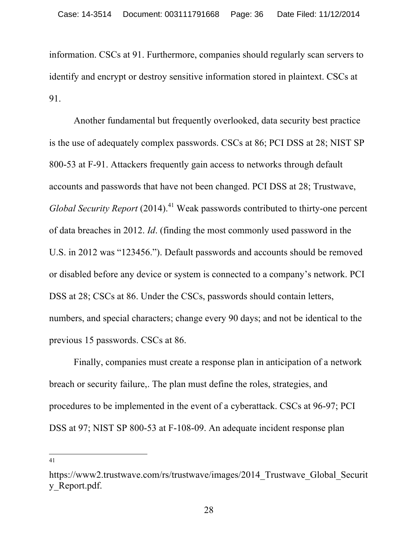information. CSCs at 91. Furthermore, companies should regularly scan servers to identify and encrypt or destroy sensitive information stored in plaintext. CSCs at 91.

Another fundamental but frequently overlooked, data security best practice is the use of adequately complex passwords. CSCs at 86; PCI DSS at 28; NIST SP 800-53 at F-91. Attackers frequently gain access to networks through default accounts and passwords that have not been changed. PCI DSS at 28; Trustwave, *Global Security Report* (2014). <sup>41</sup> Weak passwords contributed to thirty-one percent of data breaches in 2012. *Id*. (finding the most commonly used password in the U.S. in 2012 was "123456."). Default passwords and accounts should be removed or disabled before any device or system is connected to a company's network. PCI DSS at 28; CSCs at 86. Under the CSCs, passwords should contain letters, numbers, and special characters; change every 90 days; and not be identical to the previous 15 passwords. CSCs at 86.

Finally, companies must create a response plan in anticipation of a network breach or security failure,. The plan must define the roles, strategies, and procedures to be implemented in the event of a cyberattack. CSCs at 96-97; PCI DSS at 97; NIST SP 800-53 at F-108-09. An adequate incident response plan

 <sup>41</sup>

https://www2.trustwave.com/rs/trustwave/images/2014\_Trustwave\_Global\_Securit y\_Report.pdf.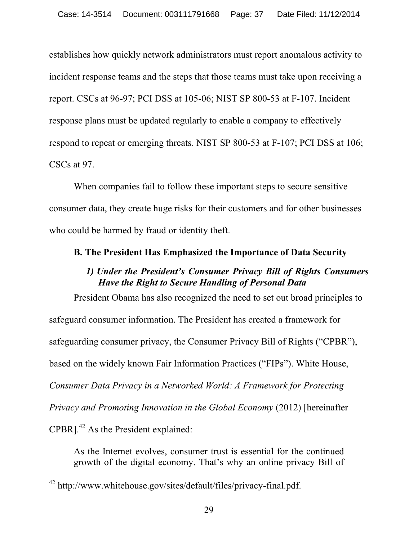establishes how quickly network administrators must report anomalous activity to incident response teams and the steps that those teams must take upon receiving a report. CSCs at 96-97; PCI DSS at 105-06; NIST SP 800-53 at F-107. Incident response plans must be updated regularly to enable a company to effectively respond to repeat or emerging threats. NIST SP 800-53 at F-107; PCI DSS at 106; CSCs at 97.

When companies fail to follow these important steps to secure sensitive consumer data, they create huge risks for their customers and for other businesses who could be harmed by fraud or identity theft.

### **B. The President Has Emphasized the Importance of Data Security**

## *1) Under the President's Consumer Privacy Bill of Rights Consumers Have the Right to Secure Handling of Personal Data*

President Obama has also recognized the need to set out broad principles to safeguard consumer information. The President has created a framework for safeguarding consumer privacy, the Consumer Privacy Bill of Rights ("CPBR"), based on the widely known Fair Information Practices ("FIPs"). White House, *Consumer Data Privacy in a Networked World: A Framework for Protecting Privacy and Promoting Innovation in the Global Economy (2012)* [hereinafter  $CPBR$ <sup>1,42</sup> As the President explained:

As the Internet evolves, consumer trust is essential for the continued growth of the digital economy. That's why an online privacy Bill of

 <sup>42</sup> http://www.whitehouse.gov/sites/default/files/privacy-final.pdf.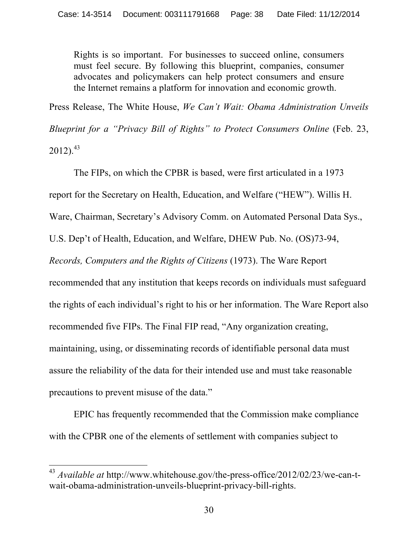Rights is so important. For businesses to succeed online, consumers must feel secure. By following this blueprint, companies, consumer advocates and policymakers can help protect consumers and ensure the Internet remains a platform for innovation and economic growth.

Press Release, The White House, *We Can't Wait: Obama Administration Unveils* 

*Blueprint for a "Privacy Bill of Rights" to Protect Consumers Online* (Feb. 23,  $2012$ ).<sup>43</sup>

The FIPs, on which the CPBR is based, were first articulated in a 1973 report for the Secretary on Health, Education, and Welfare ("HEW"). Willis H. Ware, Chairman, Secretary's Advisory Comm. on Automated Personal Data Sys., U.S. Dep't of Health, Education, and Welfare, DHEW Pub. No. (OS)73-94, *Records, Computers and the Rights of Citizens* (1973). The Ware Report recommended that any institution that keeps records on individuals must safeguard the rights of each individual's right to his or her information. The Ware Report also recommended five FIPs. The Final FIP read, "Any organization creating, maintaining, using, or disseminating records of identifiable personal data must assure the reliability of the data for their intended use and must take reasonable precautions to prevent misuse of the data."

EPIC has frequently recommended that the Commission make compliance with the CPBR one of the elements of settlement with companies subject to

 <sup>43</sup> *Available at* http://www.whitehouse.gov/the-press-office/2012/02/23/we-can-twait-obama-administration-unveils-blueprint-privacy-bill-rights.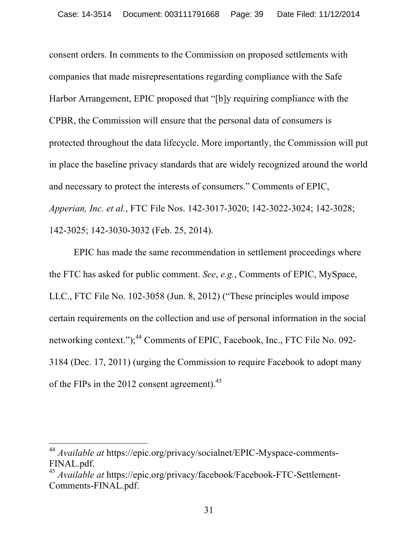consent orders. In comments to the Commission on proposed settlements with companies that made misrepresentations regarding compliance with the Safe Harbor Arrangement, EPIC proposed that "[b]y requiring compliance with the CPBR, the Commission will ensure that the personal data of consumers is protected throughout the data lifecycle. More importantly, the Commission will put in place the baseline privacy standards that are widely recognized around the world and necessary to protect the interests of consumers." Comments of EPIC, *Apperian, Inc. et al.*, FTC File Nos. 142-3017-3020; 142-3022-3024; 142-3028; 142-3025; 142-3030-3032 (Feb. 25, 2014).

EPIC has made the same recommendation in settlement proceedings where the FTC has asked for public comment. *See*, *e.g.*, Comments of EPIC, MySpace, LLC., FTC File No. 102-3058 (Jun. 8, 2012) ("These principles would impose certain requirements on the collection and use of personal information in the social networking context.");<sup>44</sup> Comments of EPIC, Facebook, Inc., FTC File No. 092-3184 (Dec. 17, 2011) (urging the Commission to require Facebook to adopt many of the FIPs in the 2012 consent agreement).<sup>45</sup>

 <sup>44</sup> *Available at* https://epic.org/privacy/socialnet/EPIC-Myspace-comments-FINAL.pdf.

<sup>45</sup> *Available at* https://epic.org/privacy/facebook/Facebook-FTC-Settlement-Comments-FINAL.pdf.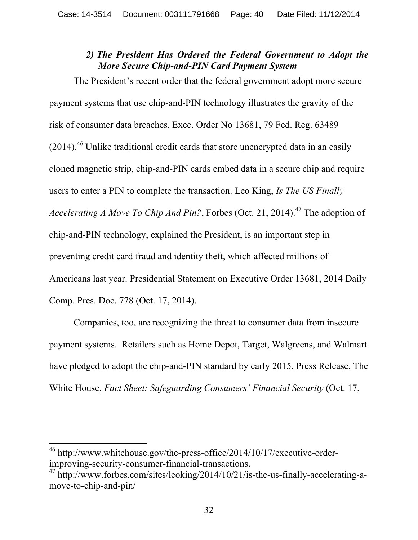### *2) The President Has Ordered the Federal Government to Adopt the More Secure Chip-and-PIN Card Payment System*

The President's recent order that the federal government adopt more secure payment systems that use chip-and-PIN technology illustrates the gravity of the risk of consumer data breaches. Exec. Order No 13681, 79 Fed. Reg. 63489  $(2014)$ .<sup>46</sup> Unlike traditional credit cards that store unencrypted data in an easily cloned magnetic strip, chip-and-PIN cards embed data in a secure chip and require users to enter a PIN to complete the transaction. Leo King, *Is The US Finally Accelerating A Move To Chip And Pin?*, Forbes (Oct. 21, 2014). <sup>47</sup> The adoption of chip-and-PIN technology, explained the President, is an important step in preventing credit card fraud and identity theft, which affected millions of Americans last year. Presidential Statement on Executive Order 13681, 2014 Daily Comp. Pres. Doc. 778 (Oct. 17, 2014).

Companies, too, are recognizing the threat to consumer data from insecure payment systems. Retailers such as Home Depot, Target, Walgreens, and Walmart have pledged to adopt the chip-and-PIN standard by early 2015. Press Release, The White House, *Fact Sheet: Safeguarding Consumers' Financial Security* (Oct. 17,

 <sup>46</sup> http://www.whitehouse.gov/the-press-office/2014/10/17/executive-orderimproving-security-consumer-financial-transactions.

<sup>47</sup> http://www.forbes.com/sites/leoking/2014/10/21/is-the-us-finally-accelerating-amove-to-chip-and-pin/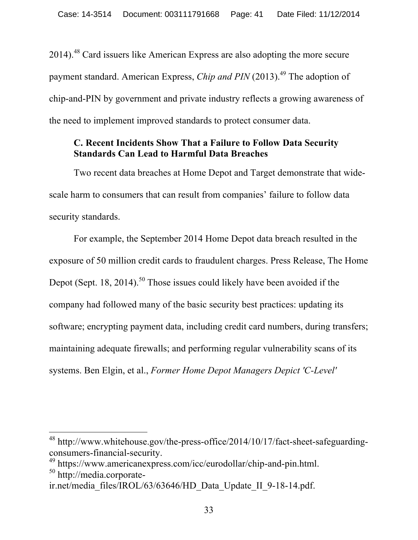$2014$ ).<sup>48</sup> Card issuers like American Express are also adopting the more secure payment standard. American Express, *Chip and PIN* (2013). <sup>49</sup> The adoption of chip-and-PIN by government and private industry reflects a growing awareness of the need to implement improved standards to protect consumer data.

# **C. Recent Incidents Show That a Failure to Follow Data Security Standards Can Lead to Harmful Data Breaches**

Two recent data breaches at Home Depot and Target demonstrate that widescale harm to consumers that can result from companies' failure to follow data security standards.

For example, the September 2014 Home Depot data breach resulted in the exposure of 50 million credit cards to fraudulent charges. Press Release, The Home Depot (Sept. 18, 2014).<sup>50</sup> Those issues could likely have been avoided if the company had followed many of the basic security best practices: updating its software; encrypting payment data, including credit card numbers, during transfers; maintaining adequate firewalls; and performing regular vulnerability scans of its systems. Ben Elgin, et al., *Former Home Depot Managers Depict 'C-Level'* 

 <sup>48</sup> http://www.whitehouse.gov/the-press-office/2014/10/17/fact-sheet-safeguardingconsumers-financial-security.

<sup>49</sup> https://www.americanexpress.com/icc/eurodollar/chip-and-pin.html.

<sup>50</sup> http://media.corporate-

ir.net/media\_files/IROL/63/63646/HD\_Data\_Update\_II\_9-18-14.pdf.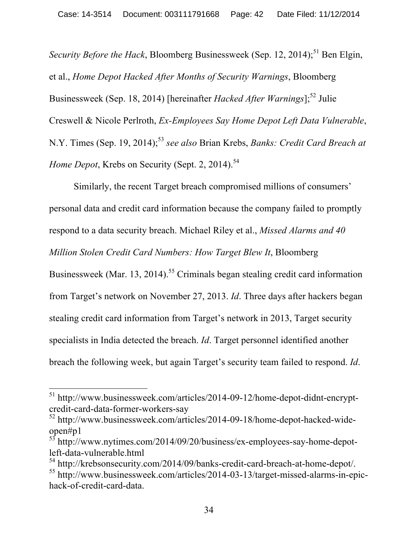Security Before the Hack, Bloomberg Businessweek (Sep. 12, 2014);<sup>51</sup> Ben Elgin, et al., *Home Depot Hacked After Months of Security Warnings*, Bloomberg Businessweek (Sep. 18, 2014) [hereinafter *Hacked After Warnings*];<sup>52</sup> Julie Creswell & Nicole Perlroth, *Ex-Employees Say Home Depot Left Data Vulnerable*, N.Y. Times (Sep. 19, 2014); <sup>53</sup> *see also* Brian Krebs, *Banks: Credit Card Breach at Home Depot*, Krebs on Security (Sept. 2, 2014). 54

Similarly, the recent Target breach compromised millions of consumers' personal data and credit card information because the company failed to promptly respond to a data security breach. Michael Riley et al., *Missed Alarms and 40 Million Stolen Credit Card Numbers: How Target Blew It*, Bloomberg Businessweek (Mar. 13, 2014).<sup>55</sup> Criminals began stealing credit card information from Target's network on November 27, 2013. *Id*. Three days after hackers began stealing credit card information from Target's network in 2013, Target security specialists in India detected the breach. *Id*. Target personnel identified another breach the following week, but again Target's security team failed to respond. *Id*.

 <sup>51</sup> http://www.businessweek.com/articles/2014-09-12/home-depot-didnt-encryptcredit-card-data-former-workers-say

<sup>52</sup> http://www.businessweek.com/articles/2014-09-18/home-depot-hacked-wideopen#p1

<sup>53</sup> http://www.nytimes.com/2014/09/20/business/ex-employees-say-home-depotleft-data-vulnerable.html

<sup>54</sup> http://krebsonsecurity.com/2014/09/banks-credit-card-breach-at-home-depot/. <sup>55</sup> http://www.businessweek.com/articles/2014-03-13/target-missed-alarms-in-epichack-of-credit-card-data.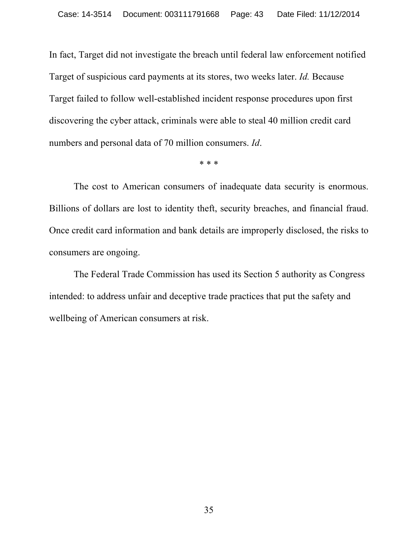In fact, Target did not investigate the breach until federal law enforcement notified Target of suspicious card payments at its stores, two weeks later. *Id.* Because Target failed to follow well-established incident response procedures upon first discovering the cyber attack, criminals were able to steal 40 million credit card numbers and personal data of 70 million consumers. *Id*.

\* \* \*

The cost to American consumers of inadequate data security is enormous. Billions of dollars are lost to identity theft, security breaches, and financial fraud. Once credit card information and bank details are improperly disclosed, the risks to consumers are ongoing.

The Federal Trade Commission has used its Section 5 authority as Congress intended: to address unfair and deceptive trade practices that put the safety and wellbeing of American consumers at risk.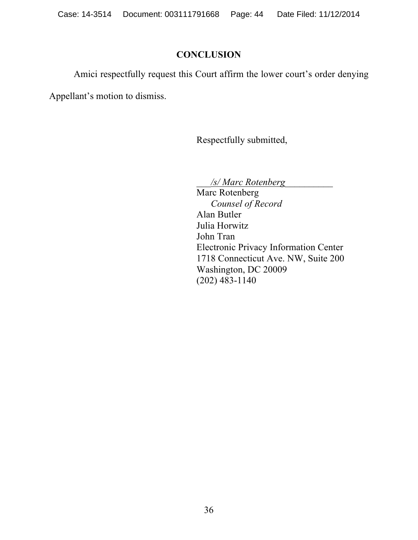### **CONCLUSION**

Amici respectfully request this Court affirm the lower court's order denying

Appellant's motion to dismiss.

Respectfully submitted,

\_\_\_*/s/ Marc Rotenberg*\_\_\_\_\_\_\_\_\_\_

Marc Rotenberg *Counsel of Record* Alan Butler Julia Horwitz John Tran Electronic Privacy Information Center 1718 Connecticut Ave. NW, Suite 200 Washington, DC 20009 (202) 483-1140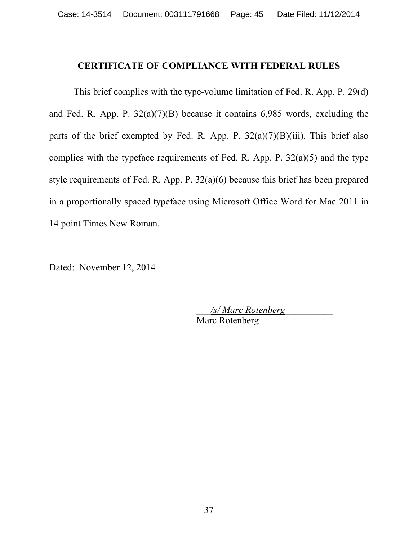#### **CERTIFICATE OF COMPLIANCE WITH FEDERAL RULES**

This brief complies with the type-volume limitation of Fed. R. App. P. 29(d) and Fed. R. App. P.  $32(a)(7)(B)$  because it contains 6,985 words, excluding the parts of the brief exempted by Fed. R. App. P.  $32(a)(7)(B)(iii)$ . This brief also complies with the typeface requirements of Fed. R. App. P.  $32(a)(5)$  and the type style requirements of Fed. R. App. P. 32(a)(6) because this brief has been prepared in a proportionally spaced typeface using Microsoft Office Word for Mac 2011 in 14 point Times New Roman.

Dated: November 12, 2014

\_\_\_*/s/ Marc Rotenberg*\_\_\_\_\_\_\_\_\_\_ Marc Rotenberg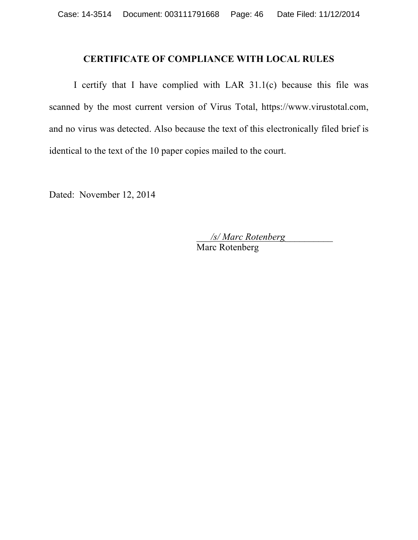#### **CERTIFICATE OF COMPLIANCE WITH LOCAL RULES**

I certify that I have complied with LAR 31.1(c) because this file was scanned by the most current version of Virus Total, https://www.virustotal.com, and no virus was detected. Also because the text of this electronically filed brief is identical to the text of the 10 paper copies mailed to the court.

Dated: November 12, 2014

\_\_\_*/s/ Marc Rotenberg*\_\_\_\_\_\_\_\_\_\_ Marc Rotenberg